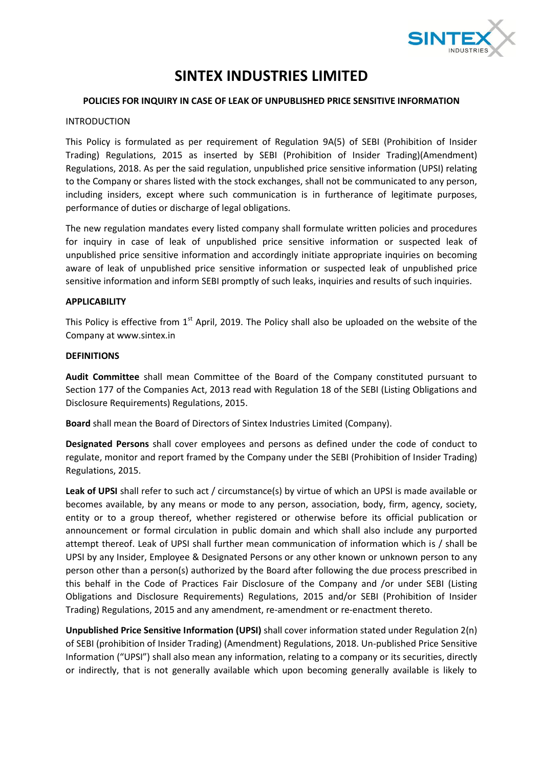

# **SINTEX INDUSTRIES LIMITED**

## **POLICIES FOR INQUIRY IN CASE OF LEAK OF UNPUBLISHED PRICE SENSITIVE INFORMATION**

## INTRODUCTION

This Policy is formulated as per requirement of Regulation 9A(5) of SEBI (Prohibition of Insider Trading) Regulations, 2015 as inserted by SEBI (Prohibition of Insider Trading)(Amendment) Regulations, 2018. As per the said regulation, unpublished price sensitive information (UPSI) relating to the Company or shares listed with the stock exchanges, shall not be communicated to any person, including insiders, except where such communication is in furtherance of legitimate purposes, performance of duties or discharge of legal obligations.

The new regulation mandates every listed company shall formulate written policies and procedures for inquiry in case of leak of unpublished price sensitive information or suspected leak of unpublished price sensitive information and accordingly initiate appropriate inquiries on becoming aware of leak of unpublished price sensitive information or suspected leak of unpublished price sensitive information and inform SEBI promptly of such leaks, inquiries and results of such inquiries.

## **APPLICABILITY**

This Policy is effective from 1<sup>st</sup> April, 2019. The Policy shall also be uploaded on the website of the Company at www.sintex.in

#### **DEFINITIONS**

**Audit Committee** shall mean Committee of the Board of the Company constituted pursuant to Section 177 of the Companies Act, 2013 read with Regulation 18 of the SEBI (Listing Obligations and Disclosure Requirements) Regulations, 2015.

**Board** shall mean the Board of Directors of Sintex Industries Limited (Company).

**Designated Persons** shall cover employees and persons as defined under the code of conduct to regulate, monitor and report framed by the Company under the SEBI (Prohibition of Insider Trading) Regulations, 2015.

**Leak of UPSI** shall refer to such act / circumstance(s) by virtue of which an UPSI is made available or becomes available, by any means or mode to any person, association, body, firm, agency, society, entity or to a group thereof, whether registered or otherwise before its official publication or announcement or formal circulation in public domain and which shall also include any purported attempt thereof. Leak of UPSI shall further mean communication of information which is / shall be UPSI by any Insider, Employee & Designated Persons or any other known or unknown person to any person other than a person(s) authorized by the Board after following the due process prescribed in this behalf in the Code of Practices Fair Disclosure of the Company and /or under SEBI (Listing Obligations and Disclosure Requirements) Regulations, 2015 and/or SEBI (Prohibition of Insider Trading) Regulations, 2015 and any amendment, re-amendment or re-enactment thereto.

**Unpublished Price Sensitive Information (UPSI)** shall cover information stated under Regulation 2(n) of SEBI (prohibition of Insider Trading) (Amendment) Regulations, 2018. Un-published Price Sensitive Information ("UPSI") shall also mean any information, relating to a company or its securities, directly or indirectly, that is not generally available which upon becoming generally available is likely to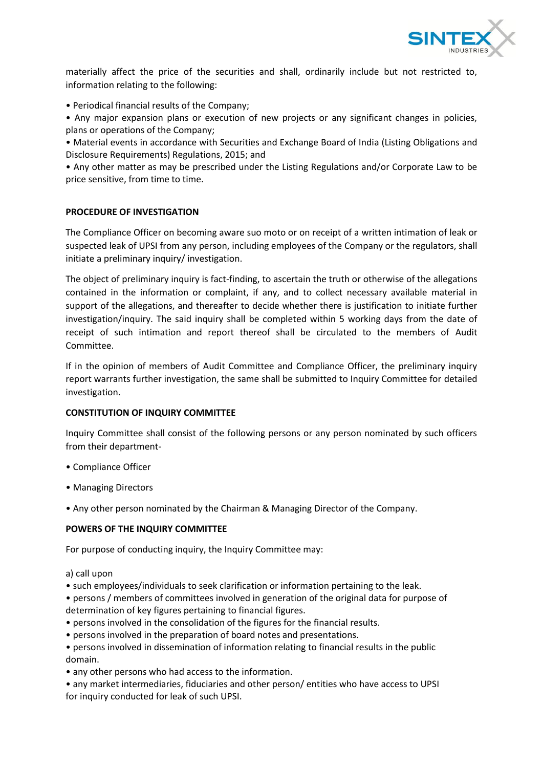

materially affect the price of the securities and shall, ordinarily include but not restricted to, information relating to the following:

• Periodical financial results of the Company;

• Any major expansion plans or execution of new projects or any significant changes in policies, plans or operations of the Company;

• Material events in accordance with Securities and Exchange Board of India (Listing Obligations and Disclosure Requirements) Regulations, 2015; and

• Any other matter as may be prescribed under the Listing Regulations and/or Corporate Law to be price sensitive, from time to time.

# **PROCEDURE OF INVESTIGATION**

The Compliance Officer on becoming aware suo moto or on receipt of a written intimation of leak or suspected leak of UPSI from any person, including employees of the Company or the regulators, shall initiate a preliminary inquiry/ investigation.

The object of preliminary inquiry is fact-finding, to ascertain the truth or otherwise of the allegations contained in the information or complaint, if any, and to collect necessary available material in support of the allegations, and thereafter to decide whether there is justification to initiate further investigation/inquiry. The said inquiry shall be completed within 5 working days from the date of receipt of such intimation and report thereof shall be circulated to the members of Audit Committee.

If in the opinion of members of Audit Committee and Compliance Officer, the preliminary inquiry report warrants further investigation, the same shall be submitted to Inquiry Committee for detailed investigation.

# **CONSTITUTION OF INQUIRY COMMITTEE**

Inquiry Committee shall consist of the following persons or any person nominated by such officers from their department-

- Compliance Officer
- Managing Directors
- Any other person nominated by the Chairman & Managing Director of the Company.

#### **POWERS OF THE INQUIRY COMMITTEE**

For purpose of conducting inquiry, the Inquiry Committee may:

a) call upon

• such employees/individuals to seek clarification or information pertaining to the leak.

• persons / members of committees involved in generation of the original data for purpose of determination of key figures pertaining to financial figures.

- persons involved in the consolidation of the figures for the financial results.
- persons involved in the preparation of board notes and presentations.
- persons involved in dissemination of information relating to financial results in the public domain.
- any other persons who had access to the information.

• any market intermediaries, fiduciaries and other person/ entities who have access to UPSI for inquiry conducted for leak of such UPSI.